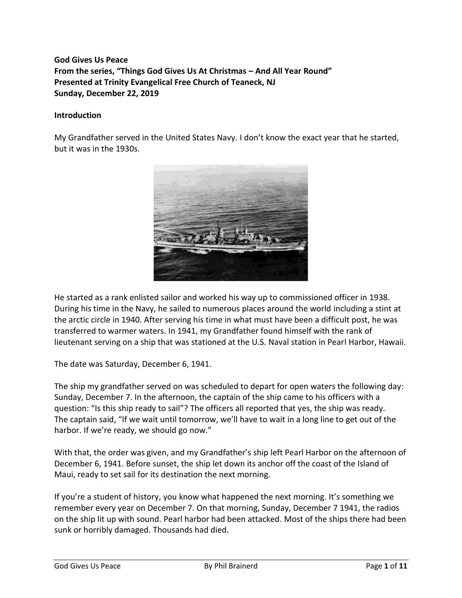# **God Gives Us Peace From the series, "Things God Gives Us At Christmas – And All Year Round" Presented at Trinity Evangelical Free Church of Teaneck, NJ Sunday, December 22, 2019**

#### **Introduction**

My Grandfather served in the United States Navy. I don't know the exact year that he started, but it was in the 1930s.



He started as a rank enlisted sailor and worked his way up to commissioned officer in 1938. During his time in the Navy, he sailed to numerous places around the world including a stint at the arctic circle in 1940. After serving his time in what must have been a difficult post, he was transferred to warmer waters. In 1941, my Grandfather found himself with the rank of lieutenant serving on a ship that was stationed at the U.S. Naval station in Pearl Harbor, Hawaii.

The date was Saturday, December 6, 1941.

The ship my grandfather served on was scheduled to depart for open waters the following day: Sunday, December 7. In the afternoon, the captain of the ship came to his officers with a question: "Is this ship ready to sail"? The officers all reported that yes, the ship was ready. The captain said, "If we wait until tomorrow, we'll have to wait in a long line to get out of the harbor. If we're ready, we should go now."

With that, the order was given, and my Grandfather's ship left Pearl Harbor on the afternoon of December 6, 1941. Before sunset, the ship let down its anchor off the coast of the Island of Maui, ready to set sail for its destination the next morning.

If you're a student of history, you know what happened the next morning. It's something we remember every year on December 7. On that morning, Sunday, December 7 1941, the radios on the ship lit up with sound. Pearl harbor had been attacked. Most of the ships there had been sunk or horribly damaged. Thousands had died.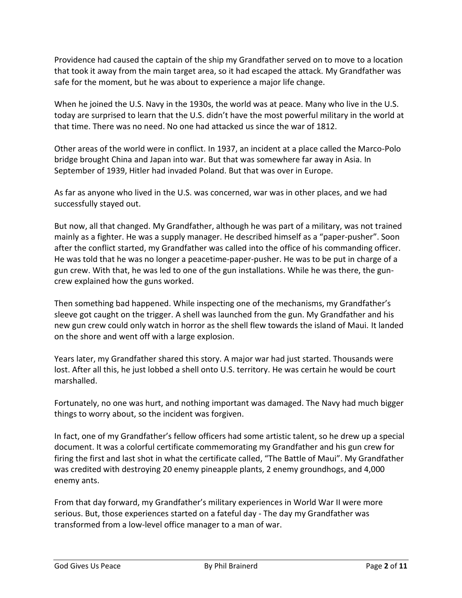Providence had caused the captain of the ship my Grandfather served on to move to a location that took it away from the main target area, so it had escaped the attack. My Grandfather was safe for the moment, but he was about to experience a major life change.

When he joined the U.S. Navy in the 1930s, the world was at peace. Many who live in the U.S. today are surprised to learn that the U.S. didn't have the most powerful military in the world at that time. There was no need. No one had attacked us since the war of 1812.

Other areas of the world were in conflict. In 1937, an incident at a place called the Marco-Polo bridge brought China and Japan into war. But that was somewhere far away in Asia. In September of 1939, Hitler had invaded Poland. But that was over in Europe.

As far as anyone who lived in the U.S. was concerned, war was in other places, and we had successfully stayed out.

But now, all that changed. My Grandfather, although he was part of a military, was not trained mainly as a fighter. He was a supply manager. He described himself as a "paper-pusher". Soon after the conflict started, my Grandfather was called into the office of his commanding officer. He was told that he was no longer a peacetime-paper-pusher. He was to be put in charge of a gun crew. With that, he was led to one of the gun installations. While he was there, the guncrew explained how the guns worked.

Then something bad happened. While inspecting one of the mechanisms, my Grandfather's sleeve got caught on the trigger. A shell was launched from the gun. My Grandfather and his new gun crew could only watch in horror as the shell flew towards the island of Maui. It landed on the shore and went off with a large explosion.

Years later, my Grandfather shared this story. A major war had just started. Thousands were lost. After all this, he just lobbed a shell onto U.S. territory. He was certain he would be court marshalled.

Fortunately, no one was hurt, and nothing important was damaged. The Navy had much bigger things to worry about, so the incident was forgiven.

In fact, one of my Grandfather's fellow officers had some artistic talent, so he drew up a special document. It was a colorful certificate commemorating my Grandfather and his gun crew for firing the first and last shot in what the certificate called, "The Battle of Maui". My Grandfather was credited with destroying 20 enemy pineapple plants, 2 enemy groundhogs, and 4,000 enemy ants.

From that day forward, my Grandfather's military experiences in World War II were more serious. But, those experiences started on a fateful day - The day my Grandfather was transformed from a low-level office manager to a man of war.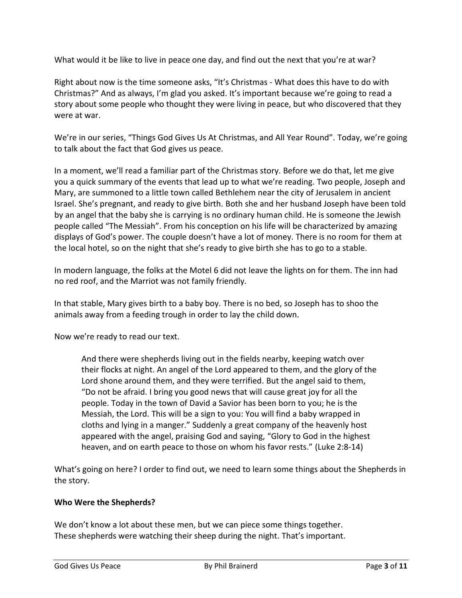What would it be like to live in peace one day, and find out the next that you're at war?

Right about now is the time someone asks, "It's Christmas - What does this have to do with Christmas?" And as always, I'm glad you asked. It's important because we're going to read a story about some people who thought they were living in peace, but who discovered that they were at war.

We're in our series, "Things God Gives Us At Christmas, and All Year Round". Today, we're going to talk about the fact that God gives us peace.

In a moment, we'll read a familiar part of the Christmas story. Before we do that, let me give you a quick summary of the events that lead up to what we're reading. Two people, Joseph and Mary, are summoned to a little town called Bethlehem near the city of Jerusalem in ancient Israel. She's pregnant, and ready to give birth. Both she and her husband Joseph have been told by an angel that the baby she is carrying is no ordinary human child. He is someone the Jewish people called "The Messiah". From his conception on his life will be characterized by amazing displays of God's power. The couple doesn't have a lot of money. There is no room for them at the local hotel, so on the night that she's ready to give birth she has to go to a stable.

In modern language, the folks at the Motel 6 did not leave the lights on for them. The inn had no red roof, and the Marriot was not family friendly.

In that stable, Mary gives birth to a baby boy. There is no bed, so Joseph has to shoo the animals away from a feeding trough in order to lay the child down.

Now we're ready to read our text.

And there were shepherds living out in the fields nearby, keeping watch over their flocks at night. An angel of the Lord appeared to them, and the glory of the Lord shone around them, and they were terrified. But the angel said to them, "Do not be afraid. I bring you good news that will cause great joy for all the people. Today in the town of David a Savior has been born to you; he is the Messiah, the Lord. This will be a sign to you: You will find a baby wrapped in cloths and lying in a manger." Suddenly a great company of the heavenly host appeared with the angel, praising God and saying, "Glory to God in the highest heaven, and on earth peace to those on whom his favor rests." (Luke 2:8-14)

What's going on here? I order to find out, we need to learn some things about the Shepherds in the story.

### **Who Were the Shepherds?**

We don't know a lot about these men, but we can piece some things together. These shepherds were watching their sheep during the night. That's important.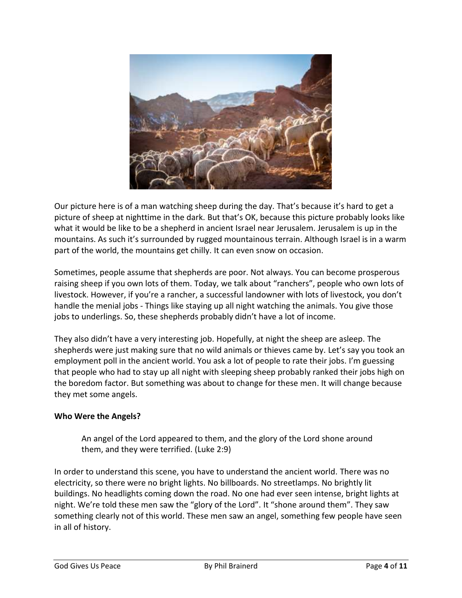

Our picture here is of a man watching sheep during the day. That's because it's hard to get a picture of sheep at nighttime in the dark. But that's OK, because this picture probably looks like what it would be like to be a shepherd in ancient Israel near Jerusalem. Jerusalem is up in the mountains. As such it's surrounded by rugged mountainous terrain. Although Israel is in a warm part of the world, the mountains get chilly. It can even snow on occasion.

Sometimes, people assume that shepherds are poor. Not always. You can become prosperous raising sheep if you own lots of them. Today, we talk about "ranchers", people who own lots of livestock. However, if you're a rancher, a successful landowner with lots of livestock, you don't handle the menial jobs - Things like staying up all night watching the animals. You give those jobs to underlings. So, these shepherds probably didn't have a lot of income.

They also didn't have a very interesting job. Hopefully, at night the sheep are asleep. The shepherds were just making sure that no wild animals or thieves came by. Let's say you took an employment poll in the ancient world. You ask a lot of people to rate their jobs. I'm guessing that people who had to stay up all night with sleeping sheep probably ranked their jobs high on the boredom factor. But something was about to change for these men. It will change because they met some angels.

## **Who Were the Angels?**

An angel of the Lord appeared to them, and the glory of the Lord shone around them, and they were terrified. (Luke 2:9)

In order to understand this scene, you have to understand the ancient world. There was no electricity, so there were no bright lights. No billboards. No streetlamps. No brightly lit buildings. No headlights coming down the road. No one had ever seen intense, bright lights at night. We're told these men saw the "glory of the Lord". It "shone around them". They saw something clearly not of this world. These men saw an angel, something few people have seen in all of history.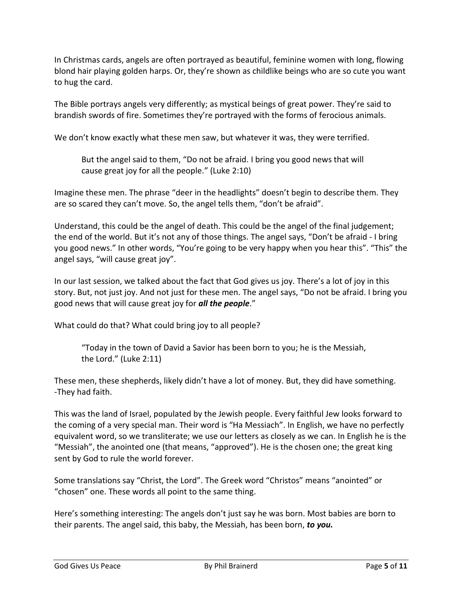In Christmas cards, angels are often portrayed as beautiful, feminine women with long, flowing blond hair playing golden harps. Or, they're shown as childlike beings who are so cute you want to hug the card.

The Bible portrays angels very differently; as mystical beings of great power. They're said to brandish swords of fire. Sometimes they're portrayed with the forms of ferocious animals.

We don't know exactly what these men saw, but whatever it was, they were terrified.

But the angel said to them, "Do not be afraid. I bring you good news that will cause great joy for all the people." (Luke 2:10)

Imagine these men. The phrase "deer in the headlights" doesn't begin to describe them. They are so scared they can't move. So, the angel tells them, "don't be afraid".

Understand, this could be the angel of death. This could be the angel of the final judgement; the end of the world. But it's not any of those things. The angel says, "Don't be afraid - I bring you good news." In other words, "You're going to be very happy when you hear this". "This" the angel says, "will cause great joy".

In our last session, we talked about the fact that God gives us joy. There's a lot of joy in this story. But, not just joy. And not just for these men. The angel says, "Do not be afraid. I bring you good news that will cause great joy for *all the people*."

What could do that? What could bring joy to all people?

"Today in the town of David a Savior has been born to you; he is the Messiah, the Lord." (Luke 2:11)

These men, these shepherds, likely didn't have a lot of money. But, they did have something. -They had faith.

This was the land of Israel, populated by the Jewish people. Every faithful Jew looks forward to the coming of a very special man. Their word is "Ha Messiach". In English, we have no perfectly equivalent word, so we transliterate; we use our letters as closely as we can. In English he is the "Messiah", the anointed one (that means, "approved"). He is the chosen one; the great king sent by God to rule the world forever.

Some translations say "Christ, the Lord". The Greek word "Christos" means "anointed" or "chosen" one. These words all point to the same thing.

Here's something interesting: The angels don't just say he was born. Most babies are born to their parents. The angel said, this baby, the Messiah, has been born, *to you.*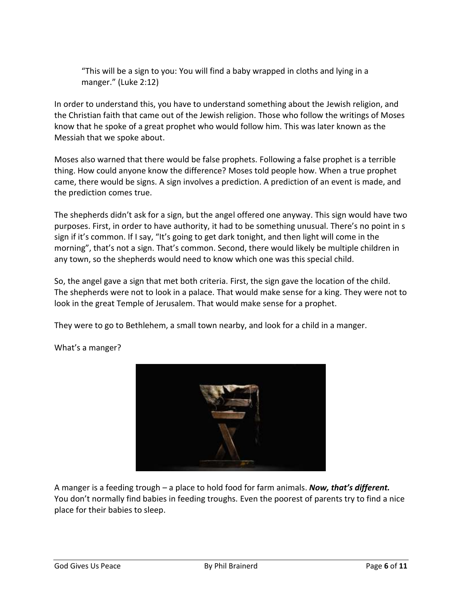"This will be a sign to you: You will find a baby wrapped in cloths and lying in a manger." (Luke 2:12)

In order to understand this, you have to understand something about the Jewish religion, and the Christian faith that came out of the Jewish religion. Those who follow the writings of Moses know that he spoke of a great prophet who would follow him. This was later known as the Messiah that we spoke about.

Moses also warned that there would be false prophets. Following a false prophet is a terrible thing. How could anyone know the difference? Moses told people how. When a true prophet came, there would be signs. A sign involves a prediction. A prediction of an event is made, and the prediction comes true.

The shepherds didn't ask for a sign, but the angel offered one anyway. This sign would have two purposes. First, in order to have authority, it had to be something unusual. There's no point in s sign if it's common. If I say, "It's going to get dark tonight, and then light will come in the morning", that's not a sign. That's common. Second, there would likely be multiple children in any town, so the shepherds would need to know which one was this special child.

So, the angel gave a sign that met both criteria. First, the sign gave the location of the child. The shepherds were not to look in a palace. That would make sense for a king. They were not to look in the great Temple of Jerusalem. That would make sense for a prophet.

They were to go to Bethlehem, a small town nearby, and look for a child in a manger.



What's a manger?

A manger is a feeding trough – a place to hold food for farm animals. *Now, that's different.* You don't normally find babies in feeding troughs. Even the poorest of parents try to find a nice place for their babies to sleep.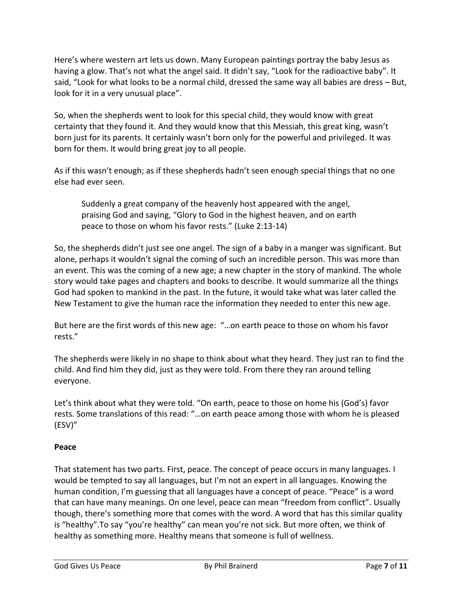Here's where western art lets us down. Many European paintings portray the baby Jesus as having a glow. That's not what the angel said. It didn't say, "Look for the radioactive baby". It said, "Look for what looks to be a normal child, dressed the same way all babies are dress – But, look for it in a very unusual place".

So, when the shepherds went to look for this special child, they would know with great certainty that they found it. And they would know that this Messiah, this great king, wasn't born just for its parents. It certainly wasn't born only for the powerful and privileged. It was born for them. It would bring great joy to all people.

As if this wasn't enough; as if these shepherds hadn't seen enough special things that no one else had ever seen.

Suddenly a great company of the heavenly host appeared with the angel, praising God and saying, "Glory to God in the highest heaven, and on earth peace to those on whom his favor rests." (Luke 2:13-14)

So, the shepherds didn't just see one angel. The sign of a baby in a manger was significant. But alone, perhaps it wouldn't signal the coming of such an incredible person. This was more than an event. This was the coming of a new age; a new chapter in the story of mankind. The whole story would take pages and chapters and books to describe. It would summarize all the things God had spoken to mankind in the past. In the future, it would take what was later called the New Testament to give the human race the information they needed to enter this new age.

But here are the first words of this new age: "…on earth peace to those on whom his favor rests."

The shepherds were likely in no shape to think about what they heard. They just ran to find the child. And find him they did, just as they were told. From there they ran around telling everyone.

Let's think about what they were told. "On earth, peace to those on home his (God's) favor rests. Some translations of this read: "…on earth peace among those with whom he is pleased (ESV)"

## **Peace**

That statement has two parts. First, peace. The concept of peace occurs in many languages. I would be tempted to say all languages, but I'm not an expert in all languages. Knowing the human condition, I'm guessing that all languages have a concept of peace. "Peace" is a word that can have many meanings. On one level, peace can mean "freedom from conflict". Usually though, there's something more that comes with the word. A word that has this similar quality is "healthy".To say "you're healthy" can mean you're not sick. But more often, we think of healthy as something more. Healthy means that someone is full of wellness.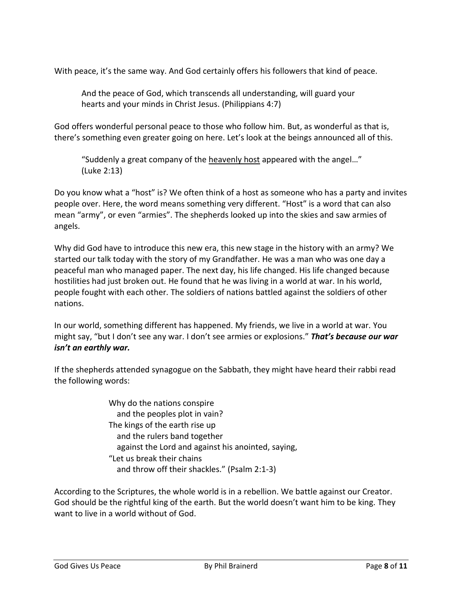With peace, it's the same way. And God certainly offers his followers that kind of peace.

And the peace of God, which transcends all understanding, will guard your hearts and your minds in Christ Jesus. (Philippians 4:7)

God offers wonderful personal peace to those who follow him. But, as wonderful as that is, there's something even greater going on here. Let's look at the beings announced all of this.

"Suddenly a great company of the heavenly host appeared with the angel…" (Luke 2:13)

Do you know what a "host" is? We often think of a host as someone who has a party and invites people over. Here, the word means something very different. "Host" is a word that can also mean "army", or even "armies". The shepherds looked up into the skies and saw armies of angels.

Why did God have to introduce this new era, this new stage in the history with an army? We started our talk today with the story of my Grandfather. He was a man who was one day a peaceful man who managed paper. The next day, his life changed. His life changed because hostilities had just broken out. He found that he was living in a world at war. In his world, people fought with each other. The soldiers of nations battled against the soldiers of other nations.

In our world, something different has happened. My friends, we live in a world at war. You might say, "but I don't see any war. I don't see armies or explosions." *That's because our war isn't an earthly war.*

If the shepherds attended synagogue on the Sabbath, they might have heard their rabbi read the following words:

> Why do the nations conspire and the peoples plot in vain? The kings of the earth rise up and the rulers band together against the Lord and against his anointed, saying, "Let us break their chains and throw off their shackles." (Psalm 2:1-3)

According to the Scriptures, the whole world is in a rebellion. We battle against our Creator. God should be the rightful king of the earth. But the world doesn't want him to be king. They want to live in a world without of God.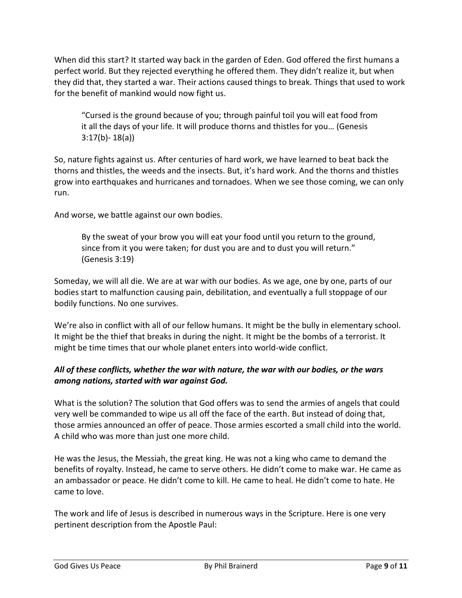When did this start? It started way back in the garden of Eden. God offered the first humans a perfect world. But they rejected everything he offered them. They didn't realize it, but when they did that, they started a war. Their actions caused things to break. Things that used to work for the benefit of mankind would now fight us.

"Cursed is the ground because of you; through painful toil you will eat food from it all the days of your life. It will produce thorns and thistles for you… (Genesis 3:17(b)- 18(a))

So, nature fights against us. After centuries of hard work, we have learned to beat back the thorns and thistles, the weeds and the insects. But, it's hard work. And the thorns and thistles grow into earthquakes and hurricanes and tornadoes. When we see those coming, we can only run.

And worse, we battle against our own bodies.

By the sweat of your brow you will eat your food until you return to the ground, since from it you were taken; for dust you are and to dust you will return." (Genesis 3:19)

Someday, we will all die. We are at war with our bodies. As we age, one by one, parts of our bodies start to malfunction causing pain, debilitation, and eventually a full stoppage of our bodily functions. No one survives.

We're also in conflict with all of our fellow humans. It might be the bully in elementary school. It might be the thief that breaks in during the night. It might be the bombs of a terrorist. It might be time times that our whole planet enters into world-wide conflict.

# *All of these conflicts, whether the war with nature, the war with our bodies, or the wars among nations, started with war against God.*

What is the solution? The solution that God offers was to send the armies of angels that could very well be commanded to wipe us all off the face of the earth. But instead of doing that, those armies announced an offer of peace. Those armies escorted a small child into the world. A child who was more than just one more child.

He was the Jesus, the Messiah, the great king. He was not a king who came to demand the benefits of royalty. Instead, he came to serve others. He didn't come to make war. He came as an ambassador or peace. He didn't come to kill. He came to heal. He didn't come to hate. He came to love.

The work and life of Jesus is described in numerous ways in the Scripture. Here is one very pertinent description from the Apostle Paul: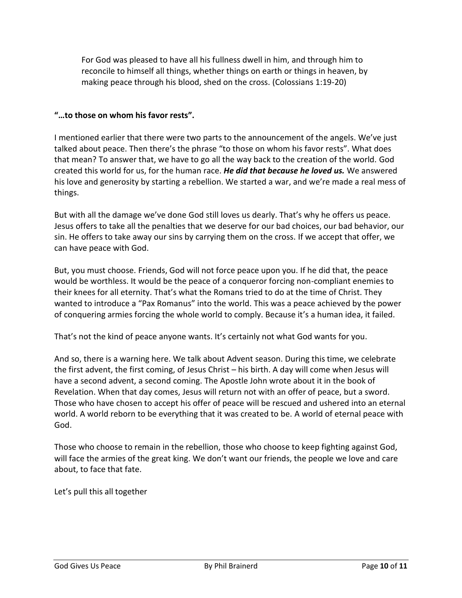For God was pleased to have all his fullness dwell in him, and through him to reconcile to himself all things, whether things on earth or things in heaven, by making peace through his blood, shed on the cross. (Colossians 1:19-20)

### **"…to those on whom his favor rests".**

I mentioned earlier that there were two parts to the announcement of the angels. We've just talked about peace. Then there's the phrase "to those on whom his favor rests". What does that mean? To answer that, we have to go all the way back to the creation of the world. God created this world for us, for the human race. *He did that because he loved us.* We answered his love and generosity by starting a rebellion. We started a war, and we're made a real mess of things.

But with all the damage we've done God still loves us dearly. That's why he offers us peace. Jesus offers to take all the penalties that we deserve for our bad choices, our bad behavior, our sin. He offers to take away our sins by carrying them on the cross. If we accept that offer, we can have peace with God.

But, you must choose. Friends, God will not force peace upon you. If he did that, the peace would be worthless. It would be the peace of a conqueror forcing non-compliant enemies to their knees for all eternity. That's what the Romans tried to do at the time of Christ. They wanted to introduce a "Pax Romanus" into the world. This was a peace achieved by the power of conquering armies forcing the whole world to comply. Because it's a human idea, it failed.

That's not the kind of peace anyone wants. It's certainly not what God wants for you.

And so, there is a warning here. We talk about Advent season. During this time, we celebrate the first advent, the first coming, of Jesus Christ – his birth. A day will come when Jesus will have a second advent, a second coming. The Apostle John wrote about it in the book of Revelation. When that day comes, Jesus will return not with an offer of peace, but a sword. Those who have chosen to accept his offer of peace will be rescued and ushered into an eternal world. A world reborn to be everything that it was created to be. A world of eternal peace with God.

Those who choose to remain in the rebellion, those who choose to keep fighting against God, will face the armies of the great king. We don't want our friends, the people we love and care about, to face that fate.

Let's pull this all together